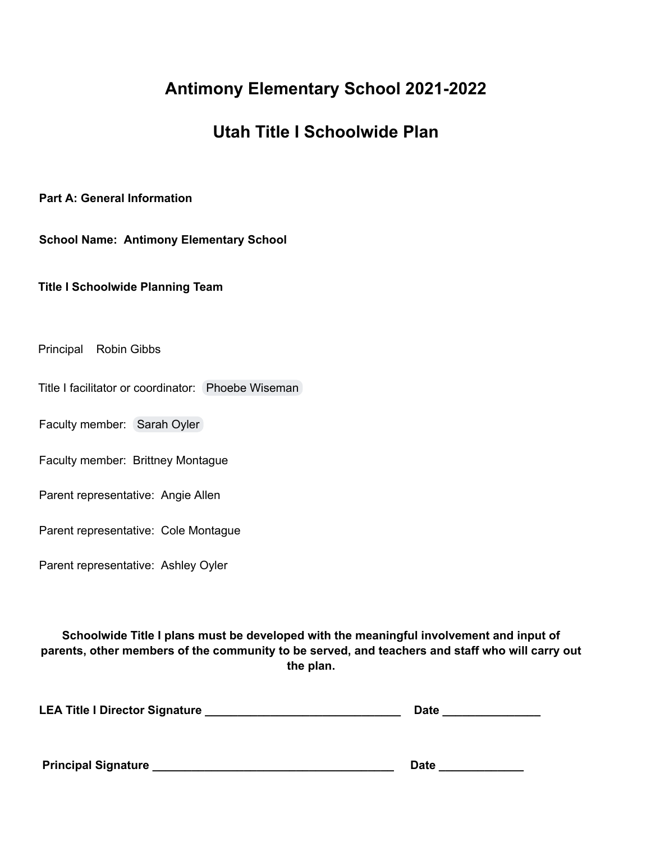# **Antimony Elementary School 2021-2022**

## **Utah Title I Schoolwide Plan**

**Part A: General Information**

**School Name: Antimony Elementary School**

**Title I Schoolwide Planning Team**

Principal Robin Gibbs

Title I facilitator or coordinator: Phoebe [Wiseman](mailto:phoebe.wiseman@garfk12.org)

Faculty member: [Sarah](mailto:sarah.oyler@garfk12.org) Oyler

Faculty member: Brittney Montague

Parent representative: Angie Allen

Parent representative: Cole Montague

Parent representative: Ashley Oyler

**Schoolwide Title I plans must be developed with the meaningful involvement and input of parents, other members of the community to be served, and teachers and staff who will carry out the plan.**

| <b>LEA Title I Director Signature</b> | <b>Date</b> |
|---------------------------------------|-------------|
|                                       |             |
|                                       |             |

**Principal Signature \_\_\_\_\_\_\_\_\_\_\_\_\_\_\_\_\_\_\_\_\_\_\_\_\_\_\_\_\_\_\_\_\_\_\_\_\_ Date \_\_\_\_\_\_\_\_\_\_\_\_\_**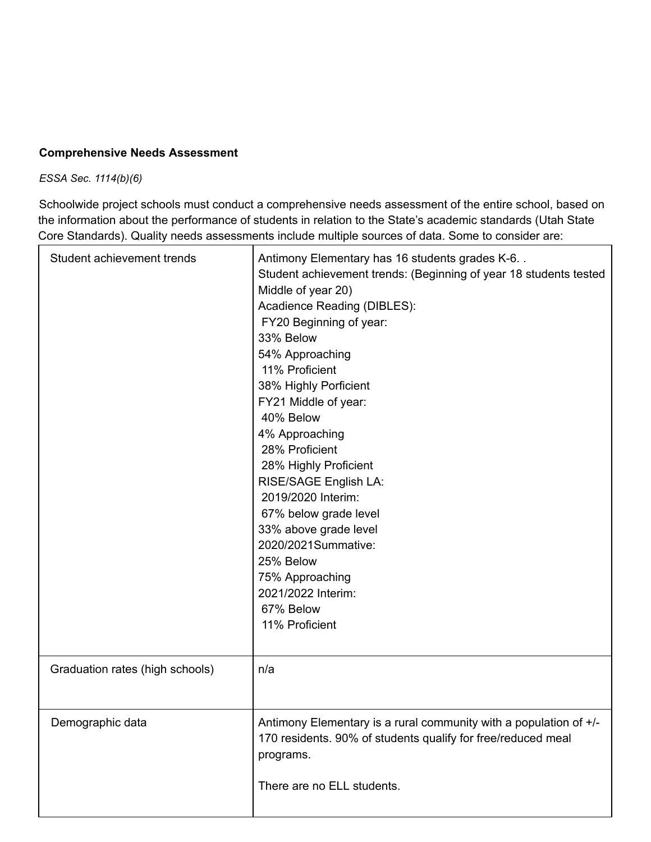#### **Comprehensive Needs Assessment**

*ESSA Sec. 1114(b)(6)*

Schoolwide project schools must conduct a comprehensive needs assessment of the entire school, based on the information about the performance of students in relation to the State's academic standards (Utah State Core Standards). Quality needs assessments include multiple sources of data. Some to consider are:

| Student achievement trends      | Antimony Elementary has 16 students grades K-6<br>Student achievement trends: (Beginning of year 18 students tested<br>Middle of year 20)<br>Acadience Reading (DIBLES):<br>FY20 Beginning of year:<br>33% Below<br>54% Approaching<br>11% Proficient<br>38% Highly Porficient<br>FY21 Middle of year:<br>40% Below<br>4% Approaching<br>28% Proficient<br>28% Highly Proficient<br>RISE/SAGE English LA:<br>2019/2020 Interim:<br>67% below grade level<br>33% above grade level<br>2020/2021Summative:<br>25% Below<br>75% Approaching<br>2021/2022 Interim:<br>67% Below<br>11% Proficient |
|---------------------------------|-----------------------------------------------------------------------------------------------------------------------------------------------------------------------------------------------------------------------------------------------------------------------------------------------------------------------------------------------------------------------------------------------------------------------------------------------------------------------------------------------------------------------------------------------------------------------------------------------|
| Graduation rates (high schools) | n/a                                                                                                                                                                                                                                                                                                                                                                                                                                                                                                                                                                                           |
| Demographic data                | Antimony Elementary is a rural community with a population of $+/-$<br>170 residents. 90% of students qualify for free/reduced meal<br>programs.<br>There are no ELL students.                                                                                                                                                                                                                                                                                                                                                                                                                |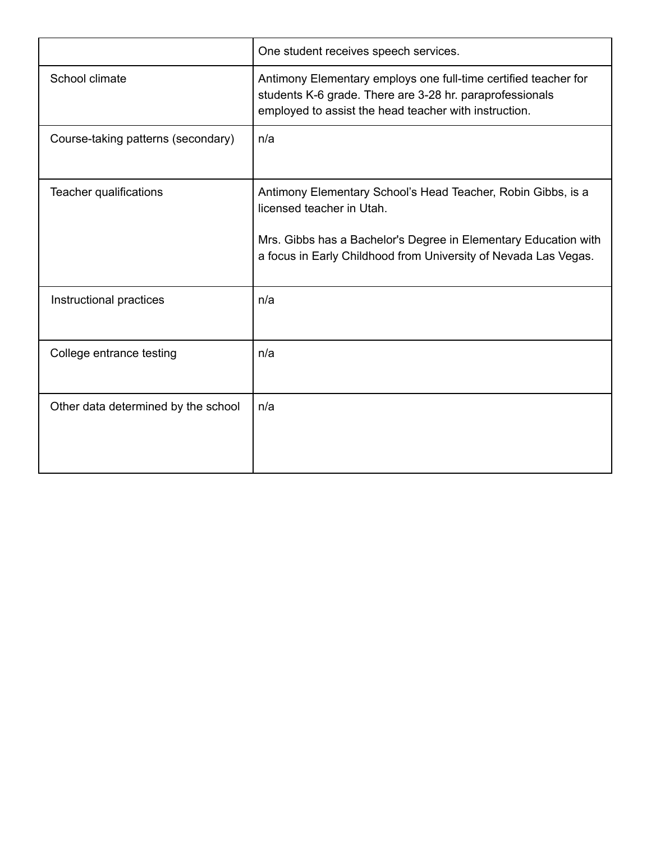|                                     | One student receives speech services.                                                                                                                                                                                           |
|-------------------------------------|---------------------------------------------------------------------------------------------------------------------------------------------------------------------------------------------------------------------------------|
| School climate                      | Antimony Elementary employs one full-time certified teacher for<br>students K-6 grade. There are 3-28 hr. paraprofessionals<br>employed to assist the head teacher with instruction.                                            |
| Course-taking patterns (secondary)  | n/a                                                                                                                                                                                                                             |
| Teacher qualifications              | Antimony Elementary School's Head Teacher, Robin Gibbs, is a<br>licensed teacher in Utah.<br>Mrs. Gibbs has a Bachelor's Degree in Elementary Education with<br>a focus in Early Childhood from University of Nevada Las Vegas. |
| Instructional practices             | n/a                                                                                                                                                                                                                             |
| College entrance testing            | n/a                                                                                                                                                                                                                             |
| Other data determined by the school | n/a                                                                                                                                                                                                                             |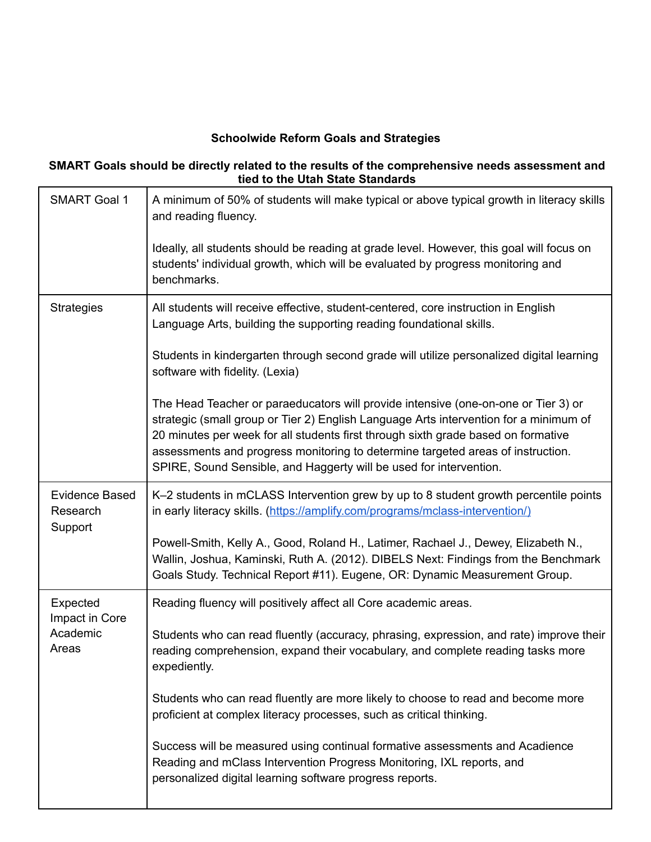### **Schoolwide Reform Goals and Strategies**

#### **SMART Goals should be directly related to the results of the comprehensive needs assessment and tied to the Utah State Standards**

| <b>SMART Goal 1</b>                          | A minimum of 50% of students will make typical or above typical growth in literacy skills<br>and reading fluency.                                                                                                                                                                                                                                                                                                         |
|----------------------------------------------|---------------------------------------------------------------------------------------------------------------------------------------------------------------------------------------------------------------------------------------------------------------------------------------------------------------------------------------------------------------------------------------------------------------------------|
|                                              | Ideally, all students should be reading at grade level. However, this goal will focus on<br>students' individual growth, which will be evaluated by progress monitoring and<br>benchmarks.                                                                                                                                                                                                                                |
| <b>Strategies</b>                            | All students will receive effective, student-centered, core instruction in English<br>Language Arts, building the supporting reading foundational skills.                                                                                                                                                                                                                                                                 |
|                                              | Students in kindergarten through second grade will utilize personalized digital learning<br>software with fidelity. (Lexia)                                                                                                                                                                                                                                                                                               |
|                                              | The Head Teacher or paraeducators will provide intensive (one-on-one or Tier 3) or<br>strategic (small group or Tier 2) English Language Arts intervention for a minimum of<br>20 minutes per week for all students first through sixth grade based on formative<br>assessments and progress monitoring to determine targeted areas of instruction.<br>SPIRE, Sound Sensible, and Haggerty will be used for intervention. |
| <b>Evidence Based</b><br>Research<br>Support | K-2 students in mCLASS Intervention grew by up to 8 student growth percentile points<br>in early literacy skills. (https://amplify.com/programs/mclass-intervention/)                                                                                                                                                                                                                                                     |
|                                              | Powell-Smith, Kelly A., Good, Roland H., Latimer, Rachael J., Dewey, Elizabeth N.,<br>Wallin, Joshua, Kaminski, Ruth A. (2012). DIBELS Next: Findings from the Benchmark<br>Goals Study. Technical Report #11). Eugene, OR: Dynamic Measurement Group.                                                                                                                                                                    |
| Expected<br>Impact in Core                   | Reading fluency will positively affect all Core academic areas.                                                                                                                                                                                                                                                                                                                                                           |
| Academic<br>Areas                            | Students who can read fluently (accuracy, phrasing, expression, and rate) improve their<br>reading comprehension, expand their vocabulary, and complete reading tasks more<br>expediently.                                                                                                                                                                                                                                |
|                                              | Students who can read fluently are more likely to choose to read and become more<br>proficient at complex literacy processes, such as critical thinking.                                                                                                                                                                                                                                                                  |
|                                              | Success will be measured using continual formative assessments and Acadience<br>Reading and mClass Intervention Progress Monitoring, IXL reports, and<br>personalized digital learning software progress reports.                                                                                                                                                                                                         |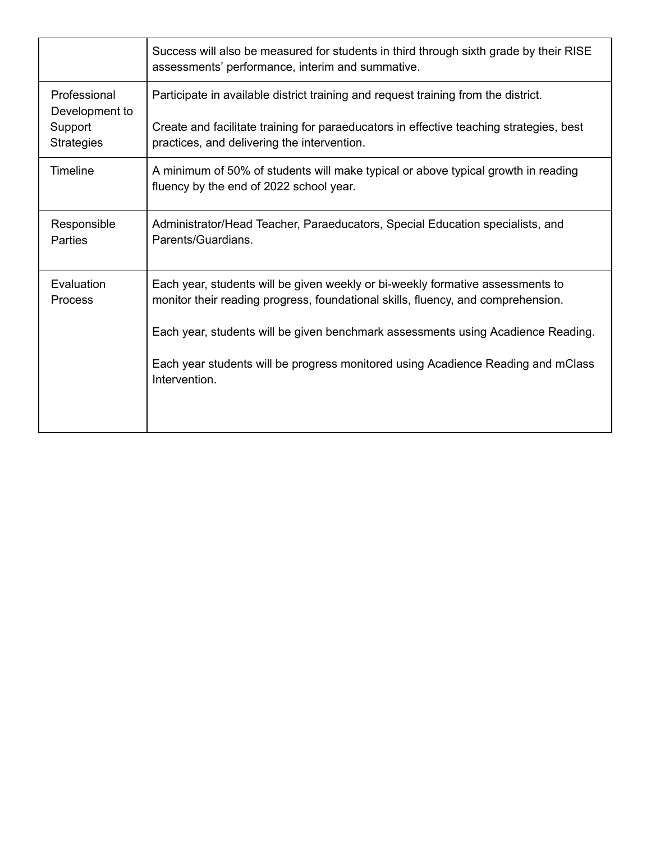|                                                                | Success will also be measured for students in third through sixth grade by their RISE<br>assessments' performance, interim and summative.                                                                                                                                                                                                                   |
|----------------------------------------------------------------|-------------------------------------------------------------------------------------------------------------------------------------------------------------------------------------------------------------------------------------------------------------------------------------------------------------------------------------------------------------|
| Professional<br>Development to<br>Support<br><b>Strategies</b> | Participate in available district training and request training from the district.<br>Create and facilitate training for paraeducators in effective teaching strategies, best<br>practices, and delivering the intervention.                                                                                                                                |
| <b>Timeline</b>                                                | A minimum of 50% of students will make typical or above typical growth in reading<br>fluency by the end of 2022 school year.                                                                                                                                                                                                                                |
| Responsible<br><b>Parties</b>                                  | Administrator/Head Teacher, Paraeducators, Special Education specialists, and<br>Parents/Guardians.                                                                                                                                                                                                                                                         |
| Evaluation<br>Process                                          | Each year, students will be given weekly or bi-weekly formative assessments to<br>monitor their reading progress, foundational skills, fluency, and comprehension.<br>Each year, students will be given benchmark assessments using Acadience Reading.<br>Each year students will be progress monitored using Acadience Reading and mClass<br>Intervention. |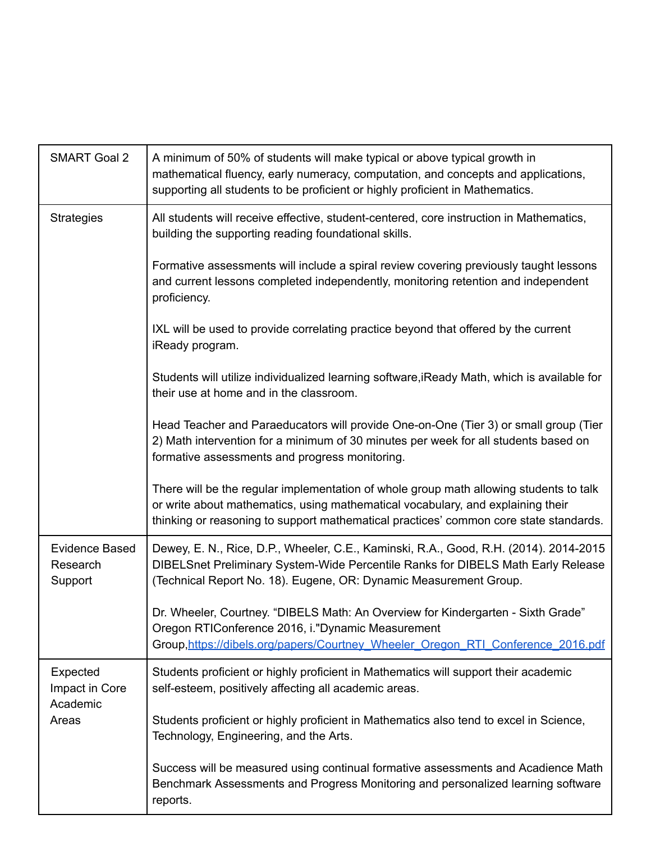| <b>SMART Goal 2</b>                          | A minimum of 50% of students will make typical or above typical growth in<br>mathematical fluency, early numeracy, computation, and concepts and applications,<br>supporting all students to be proficient or highly proficient in Mathematics.                    |
|----------------------------------------------|--------------------------------------------------------------------------------------------------------------------------------------------------------------------------------------------------------------------------------------------------------------------|
| <b>Strategies</b>                            | All students will receive effective, student-centered, core instruction in Mathematics,<br>building the supporting reading foundational skills.                                                                                                                    |
|                                              | Formative assessments will include a spiral review covering previously taught lessons<br>and current lessons completed independently, monitoring retention and independent<br>proficiency.                                                                         |
|                                              | IXL will be used to provide correlating practice beyond that offered by the current<br>iReady program.                                                                                                                                                             |
|                                              | Students will utilize individualized learning software, iReady Math, which is available for<br>their use at home and in the classroom.                                                                                                                             |
|                                              | Head Teacher and Paraeducators will provide One-on-One (Tier 3) or small group (Tier<br>2) Math intervention for a minimum of 30 minutes per week for all students based on<br>formative assessments and progress monitoring.                                      |
|                                              | There will be the regular implementation of whole group math allowing students to talk<br>or write about mathematics, using mathematical vocabulary, and explaining their<br>thinking or reasoning to support mathematical practices' common core state standards. |
| <b>Evidence Based</b><br>Research<br>Support | Dewey, E. N., Rice, D.P., Wheeler, C.E., Kaminski, R.A., Good, R.H. (2014). 2014-2015<br>DIBELSnet Preliminary System-Wide Percentile Ranks for DIBELS Math Early Release<br>(Technical Report No. 18). Eugene, OR: Dynamic Measurement Group.                     |
|                                              | Dr. Wheeler, Courtney. "DIBELS Math: An Overview for Kindergarten - Sixth Grade"<br>Oregon RTIConference 2016, i."Dynamic Measurement<br>Group, https://dibels.org/papers/Courtney Wheeler Oregon RTI Conference 2016.pdf                                          |
| Expected<br>Impact in Core<br>Academic       | Students proficient or highly proficient in Mathematics will support their academic<br>self-esteem, positively affecting all academic areas.                                                                                                                       |
| Areas                                        | Students proficient or highly proficient in Mathematics also tend to excel in Science,<br>Technology, Engineering, and the Arts.                                                                                                                                   |
|                                              | Success will be measured using continual formative assessments and Acadience Math<br>Benchmark Assessments and Progress Monitoring and personalized learning software<br>reports.                                                                                  |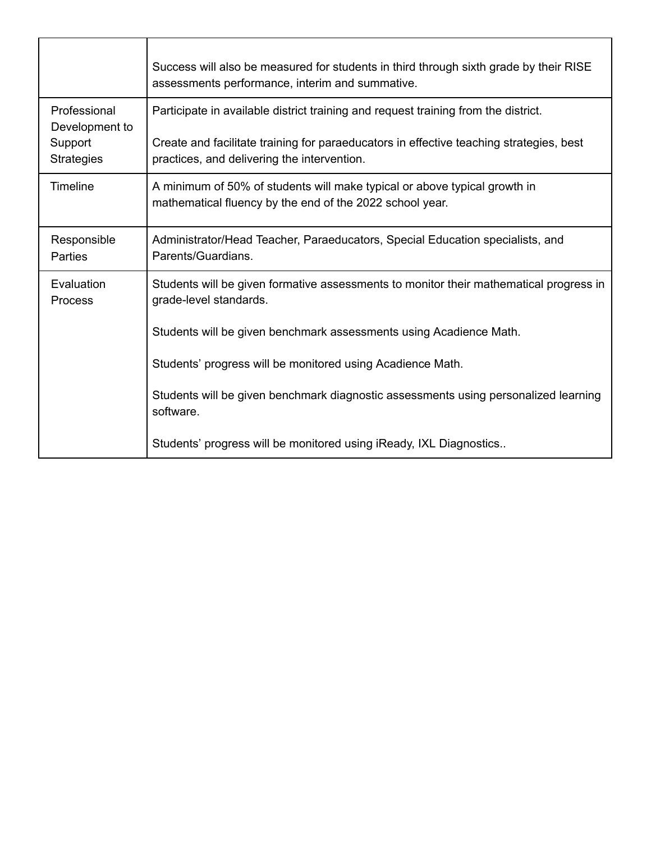|                                                                | Success will also be measured for students in third through sixth grade by their RISE<br>assessments performance, interim and summative.                                                                                     |
|----------------------------------------------------------------|------------------------------------------------------------------------------------------------------------------------------------------------------------------------------------------------------------------------------|
| Professional<br>Development to<br>Support<br><b>Strategies</b> | Participate in available district training and request training from the district.<br>Create and facilitate training for paraeducators in effective teaching strategies, best<br>practices, and delivering the intervention. |
| <b>Timeline</b>                                                | A minimum of 50% of students will make typical or above typical growth in<br>mathematical fluency by the end of the 2022 school year.                                                                                        |
| Responsible<br>Parties                                         | Administrator/Head Teacher, Paraeducators, Special Education specialists, and<br>Parents/Guardians.                                                                                                                          |
| Evaluation<br>Process                                          | Students will be given formative assessments to monitor their mathematical progress in<br>grade-level standards.                                                                                                             |
|                                                                | Students will be given benchmark assessments using Acadience Math.                                                                                                                                                           |
|                                                                | Students' progress will be monitored using Acadience Math.                                                                                                                                                                   |
|                                                                | Students will be given benchmark diagnostic assessments using personalized learning<br>software.                                                                                                                             |
|                                                                | Students' progress will be monitored using iReady, IXL Diagnostics                                                                                                                                                           |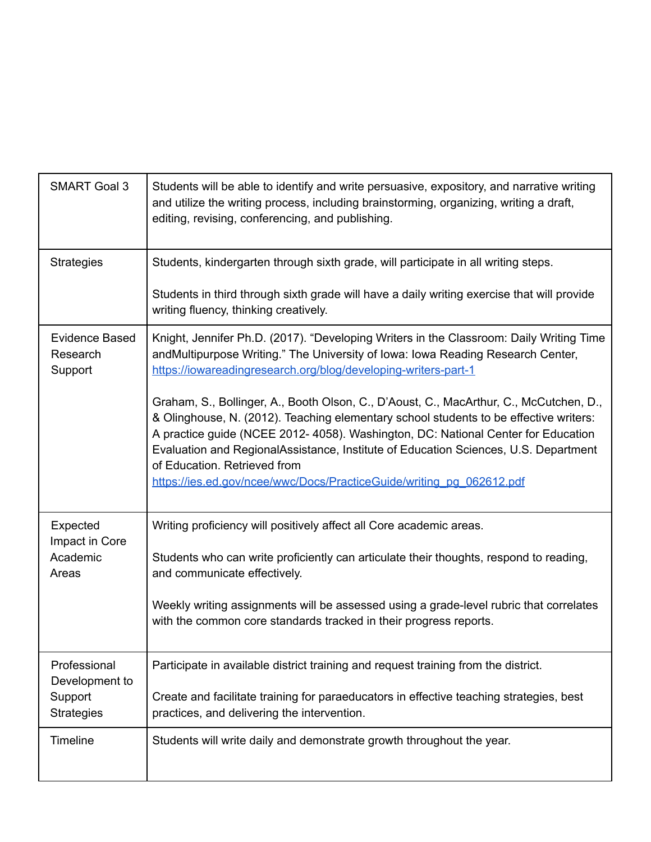| <b>SMART Goal 3</b>                          | Students will be able to identify and write persuasive, expository, and narrative writing<br>and utilize the writing process, including brainstorming, organizing, writing a draft,<br>editing, revising, conferencing, and publishing.                                                                                                                                                                                                                             |
|----------------------------------------------|---------------------------------------------------------------------------------------------------------------------------------------------------------------------------------------------------------------------------------------------------------------------------------------------------------------------------------------------------------------------------------------------------------------------------------------------------------------------|
| <b>Strategies</b>                            | Students, kindergarten through sixth grade, will participate in all writing steps.                                                                                                                                                                                                                                                                                                                                                                                  |
|                                              | Students in third through sixth grade will have a daily writing exercise that will provide<br>writing fluency, thinking creatively.                                                                                                                                                                                                                                                                                                                                 |
| <b>Evidence Based</b><br>Research<br>Support | Knight, Jennifer Ph.D. (2017). "Developing Writers in the Classroom: Daily Writing Time<br>andMultipurpose Writing." The University of Iowa: Iowa Reading Research Center,<br>https://iowareadingresearch.org/blog/developing-writers-part-1                                                                                                                                                                                                                        |
|                                              | Graham, S., Bollinger, A., Booth Olson, C., D'Aoust, C., MacArthur, C., McCutchen, D.,<br>& Olinghouse, N. (2012). Teaching elementary school students to be effective writers:<br>A practice guide (NCEE 2012- 4058). Washington, DC: National Center for Education<br>Evaluation and RegionalAssistance, Institute of Education Sciences, U.S. Department<br>of Education. Retrieved from<br>https://ies.ed.gov/ncee/wwc/Docs/PracticeGuide/writing_pg_062612.pdf |
| Expected                                     | Writing proficiency will positively affect all Core academic areas.                                                                                                                                                                                                                                                                                                                                                                                                 |
| Impact in Core<br>Academic<br>Areas          | Students who can write proficiently can articulate their thoughts, respond to reading,<br>and communicate effectively.                                                                                                                                                                                                                                                                                                                                              |
|                                              | Weekly writing assignments will be assessed using a grade-level rubric that correlates<br>with the common core standards tracked in their progress reports.                                                                                                                                                                                                                                                                                                         |
| Professional<br>Development to               | Participate in available district training and request training from the district.                                                                                                                                                                                                                                                                                                                                                                                  |
| Support<br><b>Strategies</b>                 | Create and facilitate training for paraeducators in effective teaching strategies, best<br>practices, and delivering the intervention.                                                                                                                                                                                                                                                                                                                              |
| Timeline                                     | Students will write daily and demonstrate growth throughout the year.                                                                                                                                                                                                                                                                                                                                                                                               |